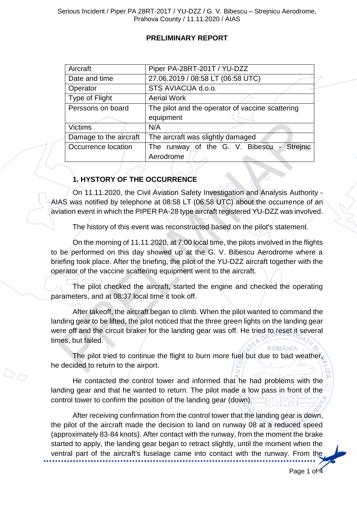### **PRELIMINARY REPORT**

| Aircraft               | Piper PA-28RT-201T / YU-DZZ                      |  |
|------------------------|--------------------------------------------------|--|
| Date and time          | 27.06.2019 / 08:58 LT (06:58 UTC)                |  |
| Operator               | STS AVIACIJA d.o.o.                              |  |
| Type of Flight         | <b>Aerial Work</b>                               |  |
| Perssons on board      | The pilot and the operator of vaccine scattering |  |
|                        | equipment                                        |  |
| Victims                | N/A                                              |  |
| Damage to the aircraft | The aircraft was slightly damaged                |  |
| Occurrence location    | The runway of the G. V. Bibescu - Streinic       |  |
|                        | Aerodrome                                        |  |

## **1. HYSTORY OF THE OCCURRENCE**

 $\mathbb{Z}_{\mathbb{Z}}$ 

On 11.11.2020, the Civil Aviation Safety Investigation and Analysis Authority AIAS was notified by telephone at 08:58 LT (06:58 UTC) about the occurrence of an aviation event in which the PIPER PA-28 type aircraft registered YU-DZZ was involved.

The history of this event was reconstructed based on the pilot's statement.

On the morning of 11.11.2020, at 7:00 local time, the pilots involved in the flights to be performed on this day showed up at the G. V. Bibescu Aerodrome where a briefing took place. After the briefing, the pilot of the YU-DZZ aircraft together with the operator of the vaccine scattering equipment went to the aircraft.

The pilot checked the aircraft, started the engine and checked the operating parameters, and at 08:37 local time it took off.

After takeoff, the aircraft began to climb. When the pilot wanted to command the landing gear to be lifted, the pilot noticed that the three green lights on the landing gear were off and the circuit braker for the landing gear was off. He tried to reset it several times, but failed.

The pilot tried to continue the flight to burn more fuel but due to bad weather, he decided to return to the airport.

He contacted the control tower and informed that he had problems with the landing gear and that he wanted to return. The pilot made a low pass in front of the control tower to confirm the position of the landing gear (down).

After receiving confirmation from the control tower that the landing gear is down, the pilot of the aircraft made the decision to land on runway 08 at a reduced speed (approximately 83-84 knots). After contact with the runway, from the moment the brake started to apply, the landing gear began to retract slightly, until the moment when the ventral part of the aircraft's fuselage came into contact with the runway. From the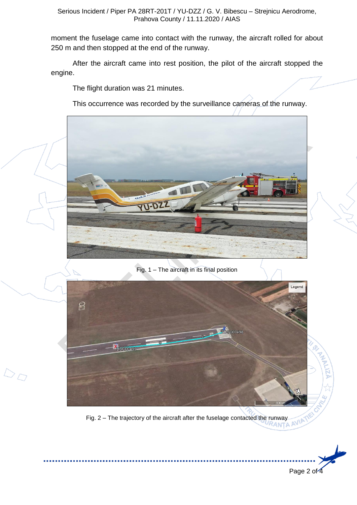Serious Incident / Piper PA 28RT-201T / YU-DZZ / G. V. Bibescu – Strejnicu Aerodrome, Prahova County / 11.11.2020 / AIAS

moment the fuselage came into contact with the runway, the aircraft rolled for about 250 m and then stopped at the end of the runway.

After the aircraft came into rest position, the pilot of the aircraft stopped the engine.

The flight duration was 21 minutes.

DO

This occurrence was recorded by the surveillance cameras of the runway.



Fig. 1 – The aircraft in its final position



Fig. 2 – The trajectory of the aircraft after the fuselage contacted the runway

Page 2 of 4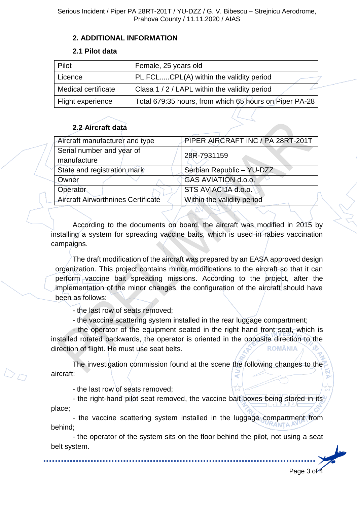### **2. ADDITIONAL INFORMATION**

#### **2.1 Pilot data**

| Pilot               | Female, 25 years old                                   |
|---------------------|--------------------------------------------------------|
| Licence             | PL.FCLCPL(A) within the validity period                |
| Medical certificate | Clasa 1/2/LAPL within the validity period              |
| Flight experience   | Total 679:35 hours, from which 65 hours on Piper PA-28 |

# **2.2 Aircraft data**

| Aircraft manufacturer and type            | PIPER AIRCRAFT INC / PA 28RT-201T |
|-------------------------------------------|-----------------------------------|
| Serial number and year of                 | 28R-7931159                       |
| manufacture                               |                                   |
| State and registration mark               | Serbian Republic - YU-DZZ         |
| Owner                                     | GAS AVIATION d.o.o.               |
| Operator                                  | STS AVIACIJA d.o.o.               |
| <b>Aircraft Airworthnines Certificate</b> | Within the validity period        |
|                                           |                                   |

According to the documents on board, the aircraft was modified in 2015 by installing a system for spreading vaccine baits, which is used in rabies vaccination campaigns.

The draft modification of the aircraft was prepared by an EASA approved design organization. This project contains minor modifications to the aircraft so that it can perform vaccine bait spreading missions. According to the project, after the implementation of the minor changes, the configuration of the aircraft should have been as follows:

- the last row of seats removed;

- the vaccine scattering system installed in the rear luggage compartment;

- the operator of the equipment seated in the right hand front seat, which is installed rotated backwards, the operator is oriented in the opposite direction to the **ROMÂNIA** direction of flight. He must use seat belts.

The investigation commission found at the scene the following changes to the aircraft:

- the last row of seats removed;

- the right-hand pilot seat removed, the vaccine bait boxes being stored in its place;

- the vaccine scattering system installed in the luggage compartment from behind;

- the operator of the system sits on the floor behind the pilot, not using a seat belt system.